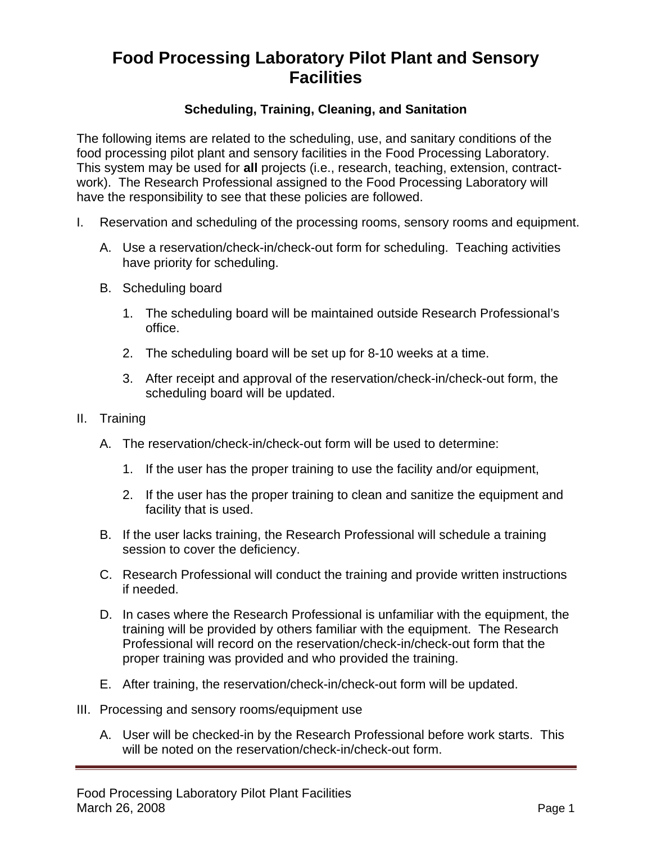## **Food Processing Laboratory Pilot Plant and Sensory Facilities**

## **Scheduling, Training, Cleaning, and Sanitation**

The following items are related to the scheduling, use, and sanitary conditions of the food processing pilot plant and sensory facilities in the Food Processing Laboratory. This system may be used for **all** projects (i.e., research, teaching, extension, contractwork). The Research Professional assigned to the Food Processing Laboratory will have the responsibility to see that these policies are followed.

- I. Reservation and scheduling of the processing rooms, sensory rooms and equipment.
	- A. Use a reservation/check-in/check-out form for scheduling. Teaching activities have priority for scheduling.
	- B. Scheduling board
		- 1. The scheduling board will be maintained outside Research Professional's office.
		- 2. The scheduling board will be set up for 8-10 weeks at a time.
		- 3. After receipt and approval of the reservation/check-in/check-out form, the scheduling board will be updated.
- II. Training
	- A. The reservation/check-in/check-out form will be used to determine:
		- 1. If the user has the proper training to use the facility and/or equipment,
		- 2. If the user has the proper training to clean and sanitize the equipment and facility that is used.
	- B. If the user lacks training, the Research Professional will schedule a training session to cover the deficiency.
	- C. Research Professional will conduct the training and provide written instructions if needed.
	- D. In cases where the Research Professional is unfamiliar with the equipment, the training will be provided by others familiar with the equipment. The Research Professional will record on the reservation/check-in/check-out form that the proper training was provided and who provided the training.
	- E. After training, the reservation/check-in/check-out form will be updated.
- III. Processing and sensory rooms/equipment use
	- A. User will be checked-in by the Research Professional before work starts. This will be noted on the reservation/check-in/check-out form.